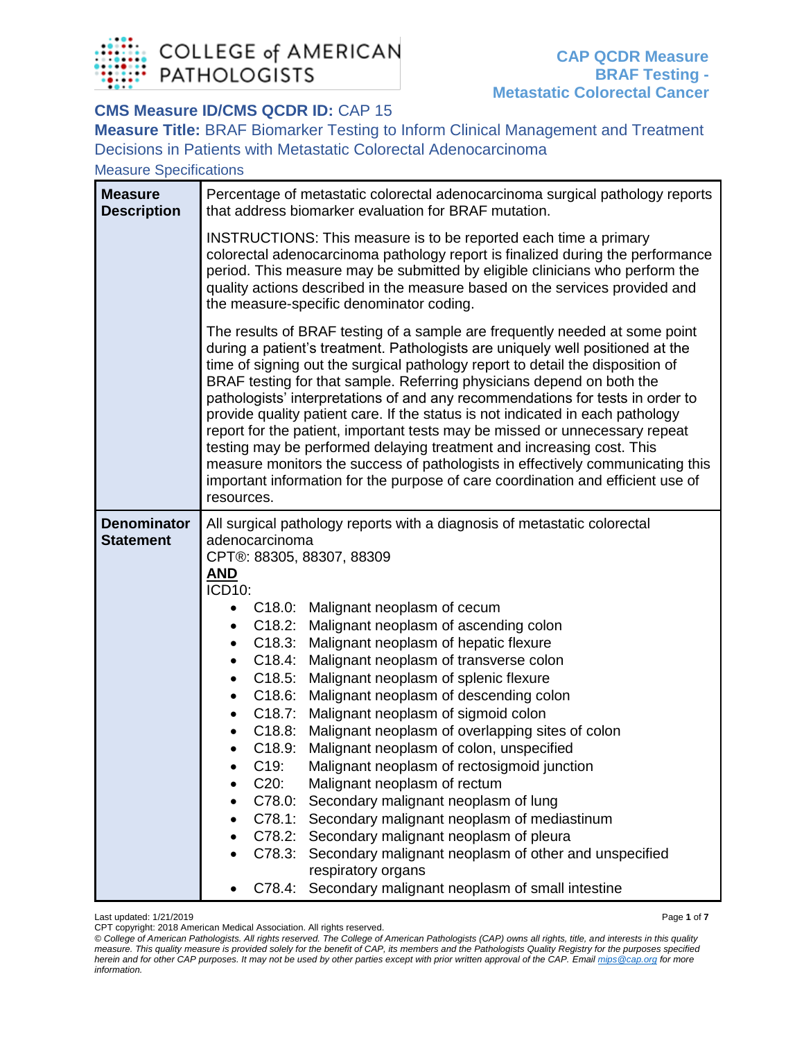

## **CMS Measure ID/CMS QCDR ID: CAP 15**

**Measure Title:** BRAF Biomarker Testing to Inform Clinical Management and Treatment Decisions in Patients with Metastatic Colorectal Adenocarcinoma

Measure Specifications

| <b>Measure</b><br><b>Description</b>   | Percentage of metastatic colorectal adenocarcinoma surgical pathology reports<br>that address biomarker evaluation for BRAF mutation.                                                                                                                                                                                                                                                                                                                                                                                                                                                                                                                                                                                                                                                                                                                                                                                                                                                                                                                                                                      |  |  |
|----------------------------------------|------------------------------------------------------------------------------------------------------------------------------------------------------------------------------------------------------------------------------------------------------------------------------------------------------------------------------------------------------------------------------------------------------------------------------------------------------------------------------------------------------------------------------------------------------------------------------------------------------------------------------------------------------------------------------------------------------------------------------------------------------------------------------------------------------------------------------------------------------------------------------------------------------------------------------------------------------------------------------------------------------------------------------------------------------------------------------------------------------------|--|--|
|                                        | INSTRUCTIONS: This measure is to be reported each time a primary<br>colorectal adenocarcinoma pathology report is finalized during the performance<br>period. This measure may be submitted by eligible clinicians who perform the<br>quality actions described in the measure based on the services provided and<br>the measure-specific denominator coding.                                                                                                                                                                                                                                                                                                                                                                                                                                                                                                                                                                                                                                                                                                                                              |  |  |
|                                        | The results of BRAF testing of a sample are frequently needed at some point<br>during a patient's treatment. Pathologists are uniquely well positioned at the<br>time of signing out the surgical pathology report to detail the disposition of<br>BRAF testing for that sample. Referring physicians depend on both the<br>pathologists' interpretations of and any recommendations for tests in order to<br>provide quality patient care. If the status is not indicated in each pathology<br>report for the patient, important tests may be missed or unnecessary repeat<br>testing may be performed delaying treatment and increasing cost. This<br>measure monitors the success of pathologists in effectively communicating this<br>important information for the purpose of care coordination and efficient use of<br>resources.                                                                                                                                                                                                                                                                    |  |  |
| <b>Denominator</b><br><b>Statement</b> | All surgical pathology reports with a diagnosis of metastatic colorectal<br>adenocarcinoma<br>CPT®: 88305, 88307, 88309<br>AND<br>ICD10:<br>C18.0: Malignant neoplasm of cecum<br>$\bullet$<br>C18.2:<br>Malignant neoplasm of ascending colon<br>٠<br>C18.3:<br>Malignant neoplasm of hepatic flexure<br>$\bullet$<br>C18.4:<br>Malignant neoplasm of transverse colon<br>$\bullet$<br>C18.5:<br>Malignant neoplasm of splenic flexure<br>$\bullet$<br>C18.6:<br>Malignant neoplasm of descending colon<br>٠<br>C18.7:<br>Malignant neoplasm of sigmoid colon<br>$\bullet$<br>Malignant neoplasm of overlapping sites of colon<br>C18.8:<br>C18.9:<br>Malignant neoplasm of colon, unspecified<br>C19:<br>Malignant neoplasm of rectosigmoid junction<br>$C20$ :<br>Malignant neoplasm of rectum<br>C78.0: Secondary malignant neoplasm of lung<br>C78.1: Secondary malignant neoplasm of mediastinum<br>C78.2: Secondary malignant neoplasm of pleura<br>Secondary malignant neoplasm of other and unspecified<br>C78.3:<br>respiratory organs<br>C78.4: Secondary malignant neoplasm of small intestine |  |  |

Last updated: 1/21/2019 Page **1** of **7**

CPT copyright: 2018 American Medical Association. All rights reserved. *© College of American Pathologists. All rights reserved. The College of American Pathologists (CAP) owns all rights, title, and interests in this quality measure. This quality measure is provided solely for the benefit of CAP, its members and the Pathologists Quality Registry for the purposes specified herein and for other CAP purposes. It may not be used by other parties except with prior written approval of the CAP. Emai[l mips@cap.org](mailto:mips@cap.org) for more information.*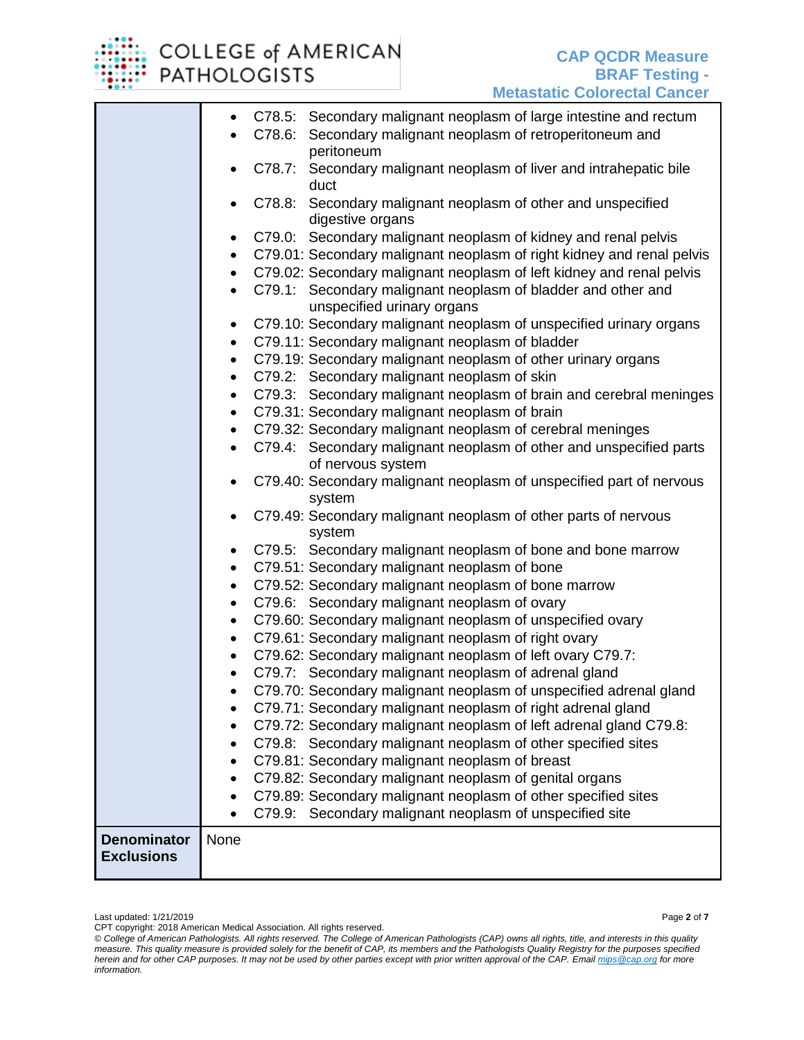

## COLLEGE of AMERICAN **PATHOLOGISTS**

|                    | $\bullet$              |        | C78.5: Secondary malignant neoplasm of large intestine and rectum                          |
|--------------------|------------------------|--------|--------------------------------------------------------------------------------------------|
|                    |                        |        | C78.6: Secondary malignant neoplasm of retroperitoneum and                                 |
|                    |                        |        | peritoneum                                                                                 |
|                    |                        |        | C78.7: Secondary malignant neoplasm of liver and intrahepatic bile<br>duct                 |
|                    |                        | C78.8: | Secondary malignant neoplasm of other and unspecified                                      |
|                    |                        |        | digestive organs                                                                           |
|                    | ٠                      |        | C79.0: Secondary malignant neoplasm of kidney and renal pelvis                             |
|                    | $\bullet$              |        | C79.01: Secondary malignant neoplasm of right kidney and renal pelvis                      |
|                    | $\bullet$              |        | C79.02: Secondary malignant neoplasm of left kidney and renal pelvis                       |
|                    | $\bullet$              |        | C79.1: Secondary malignant neoplasm of bladder and other and<br>unspecified urinary organs |
|                    |                        |        | C79.10: Secondary malignant neoplasm of unspecified urinary organs                         |
|                    | ٠                      |        | C79.11: Secondary malignant neoplasm of bladder                                            |
|                    | $\bullet$<br>$\bullet$ |        | C79.19: Secondary malignant neoplasm of other urinary organs                               |
|                    | $\bullet$              |        | C79.2: Secondary malignant neoplasm of skin                                                |
|                    | $\bullet$              |        | C79.3: Secondary malignant neoplasm of brain and cerebral meninges                         |
|                    | $\bullet$              |        | C79.31: Secondary malignant neoplasm of brain                                              |
|                    | $\bullet$              |        | C79.32: Secondary malignant neoplasm of cerebral meninges                                  |
|                    | $\bullet$              |        | C79.4: Secondary malignant neoplasm of other and unspecified parts                         |
|                    |                        |        | of nervous system                                                                          |
|                    | $\bullet$              |        | C79.40: Secondary malignant neoplasm of unspecified part of nervous                        |
|                    |                        |        | system                                                                                     |
|                    | $\bullet$              |        | C79.49: Secondary malignant neoplasm of other parts of nervous                             |
|                    |                        |        | system                                                                                     |
|                    | ٠                      |        | C79.5: Secondary malignant neoplasm of bone and bone marrow                                |
|                    | $\bullet$              |        | C79.51: Secondary malignant neoplasm of bone                                               |
|                    | $\bullet$              |        | C79.52: Secondary malignant neoplasm of bone marrow                                        |
|                    | $\bullet$              |        | C79.6: Secondary malignant neoplasm of ovary                                               |
|                    | $\bullet$              |        | C79.60: Secondary malignant neoplasm of unspecified ovary                                  |
|                    | $\bullet$              |        | C79.61: Secondary malignant neoplasm of right ovary                                        |
|                    | $\bullet$              |        | C79.62: Secondary malignant neoplasm of left ovary C79.7:                                  |
|                    |                        |        | C79.7: Secondary malignant neoplasm of adrenal gland                                       |
|                    |                        |        | C79.70: Secondary malignant neoplasm of unspecified adrenal gland                          |
|                    |                        |        | C79.71: Secondary malignant neoplasm of right adrenal gland                                |
|                    |                        |        | C79.72: Secondary malignant neoplasm of left adrenal gland C79.8:                          |
|                    |                        |        | C79.8: Secondary malignant neoplasm of other specified sites                               |
|                    |                        |        | C79.81: Secondary malignant neoplasm of breast                                             |
|                    |                        |        | C79.82: Secondary malignant neoplasm of genital organs                                     |
|                    |                        |        | C79.89: Secondary malignant neoplasm of other specified sites                              |
|                    |                        |        | C79.9: Secondary malignant neoplasm of unspecified site                                    |
| <b>Denominator</b> | None                   |        |                                                                                            |
| <b>Exclusions</b>  |                        |        |                                                                                            |
|                    |                        |        |                                                                                            |

Last updated: 1/21/2019 Page **2** of **7**

CPT copyright: 2018 American Medical Association. All rights reserved.

*© College of American Pathologists. All rights reserved. The College of American Pathologists (CAP) owns all rights, title, and interests in this quality measure. This quality measure is provided solely for the benefit of CAP, its members and the Pathologists Quality Registry for the purposes specified herein and for other CAP purposes. It may not be used by other parties except with prior written approval of the CAP. Emai[l mips@cap.org](mailto:mips@cap.org) for more information.*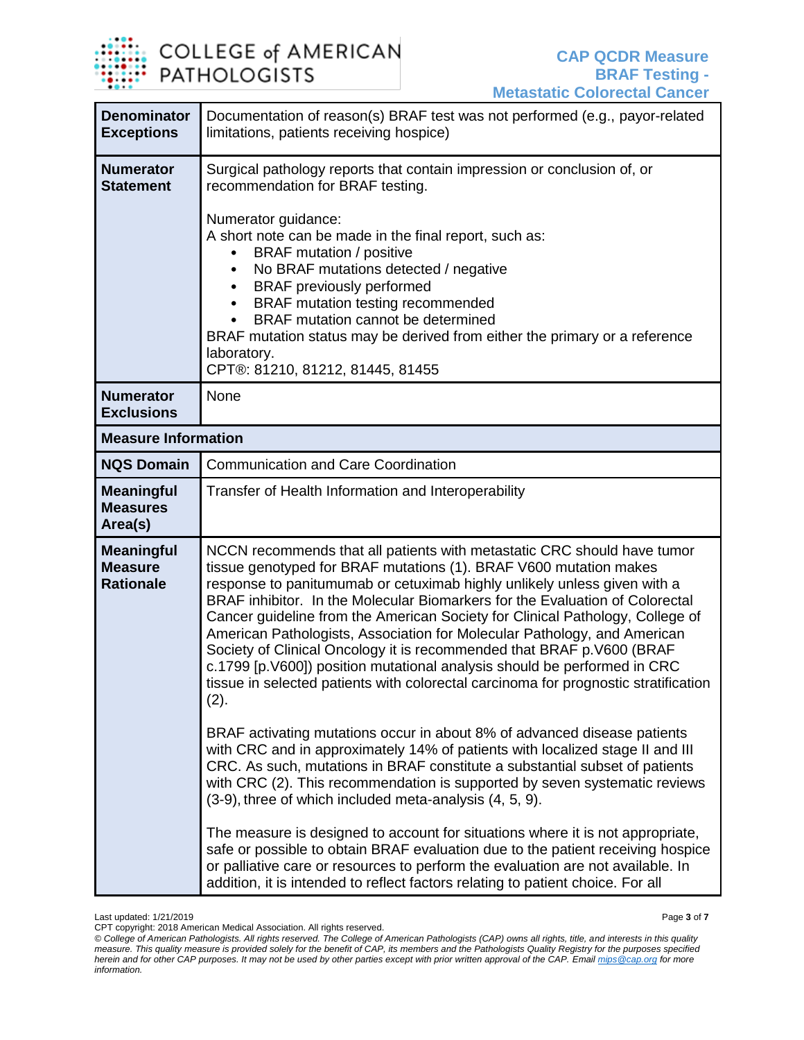

| <b>Denominator</b><br><b>Exceptions</b>                 | Documentation of reason(s) BRAF test was not performed (e.g., payor-related<br>limitations, patients receiving hospice)                                                                                                                                                                                                                                                                                                                                                                                                                                                                                                                                                                                                                                                                                                                                                                                                                                                                                                                                                                                                                                                                                                                                                                                                                                                                                                                                    |  |  |  |
|---------------------------------------------------------|------------------------------------------------------------------------------------------------------------------------------------------------------------------------------------------------------------------------------------------------------------------------------------------------------------------------------------------------------------------------------------------------------------------------------------------------------------------------------------------------------------------------------------------------------------------------------------------------------------------------------------------------------------------------------------------------------------------------------------------------------------------------------------------------------------------------------------------------------------------------------------------------------------------------------------------------------------------------------------------------------------------------------------------------------------------------------------------------------------------------------------------------------------------------------------------------------------------------------------------------------------------------------------------------------------------------------------------------------------------------------------------------------------------------------------------------------------|--|--|--|
| <b>Numerator</b><br><b>Statement</b>                    | Surgical pathology reports that contain impression or conclusion of, or<br>recommendation for BRAF testing.<br>Numerator guidance:<br>A short note can be made in the final report, such as:<br><b>BRAF</b> mutation / positive<br>No BRAF mutations detected / negative<br><b>BRAF</b> previously performed<br>$\bullet$<br>BRAF mutation testing recommended<br>$\bullet$<br>BRAF mutation cannot be determined<br>BRAF mutation status may be derived from either the primary or a reference<br>laboratory.<br>CPT®: 81210, 81212, 81445, 81455                                                                                                                                                                                                                                                                                                                                                                                                                                                                                                                                                                                                                                                                                                                                                                                                                                                                                                         |  |  |  |
| <b>Numerator</b><br><b>Exclusions</b>                   | None                                                                                                                                                                                                                                                                                                                                                                                                                                                                                                                                                                                                                                                                                                                                                                                                                                                                                                                                                                                                                                                                                                                                                                                                                                                                                                                                                                                                                                                       |  |  |  |
| <b>Measure Information</b>                              |                                                                                                                                                                                                                                                                                                                                                                                                                                                                                                                                                                                                                                                                                                                                                                                                                                                                                                                                                                                                                                                                                                                                                                                                                                                                                                                                                                                                                                                            |  |  |  |
| <b>NQS Domain</b>                                       | <b>Communication and Care Coordination</b>                                                                                                                                                                                                                                                                                                                                                                                                                                                                                                                                                                                                                                                                                                                                                                                                                                                                                                                                                                                                                                                                                                                                                                                                                                                                                                                                                                                                                 |  |  |  |
| <b>Meaningful</b><br><b>Measures</b><br>Area(s)         | Transfer of Health Information and Interoperability                                                                                                                                                                                                                                                                                                                                                                                                                                                                                                                                                                                                                                                                                                                                                                                                                                                                                                                                                                                                                                                                                                                                                                                                                                                                                                                                                                                                        |  |  |  |
| <b>Meaningful</b><br><b>Measure</b><br><b>Rationale</b> | NCCN recommends that all patients with metastatic CRC should have tumor<br>tissue genotyped for BRAF mutations (1). BRAF V600 mutation makes<br>response to panitumumab or cetuximab highly unlikely unless given with a<br>BRAF inhibitor. In the Molecular Biomarkers for the Evaluation of Colorectal<br>Cancer guideline from the American Society for Clinical Pathology, College of<br>American Pathologists, Association for Molecular Pathology, and American<br>Society of Clinical Oncology it is recommended that BRAF p. V600 (BRAF<br>c.1799 [p.V600]) position mutational analysis should be performed in CRC<br>tissue in selected patients with colorectal carcinoma for prognostic stratification<br>(2).<br>BRAF activating mutations occur in about 8% of advanced disease patients<br>with CRC and in approximately 14% of patients with localized stage II and III<br>CRC. As such, mutations in BRAF constitute a substantial subset of patients<br>with CRC (2). This recommendation is supported by seven systematic reviews<br>(3-9), three of which included meta-analysis (4, 5, 9).<br>The measure is designed to account for situations where it is not appropriate,<br>safe or possible to obtain BRAF evaluation due to the patient receiving hospice<br>or palliative care or resources to perform the evaluation are not available. In<br>addition, it is intended to reflect factors relating to patient choice. For all |  |  |  |

Last updated: 1/21/2019 Page **3** of **7**

CPT copyright: 2018 American Medical Association. All rights reserved.

*<sup>©</sup> College of American Pathologists. All rights reserved. The College of American Pathologists (CAP) owns all rights, title, and interests in this quality measure. This quality measure is provided solely for the benefit of CAP, its members and the Pathologists Quality Registry for the purposes specified herein and for other CAP purposes. It may not be used by other parties except with prior written approval of the CAP. Emai[l mips@cap.org](mailto:mips@cap.org) for more information.*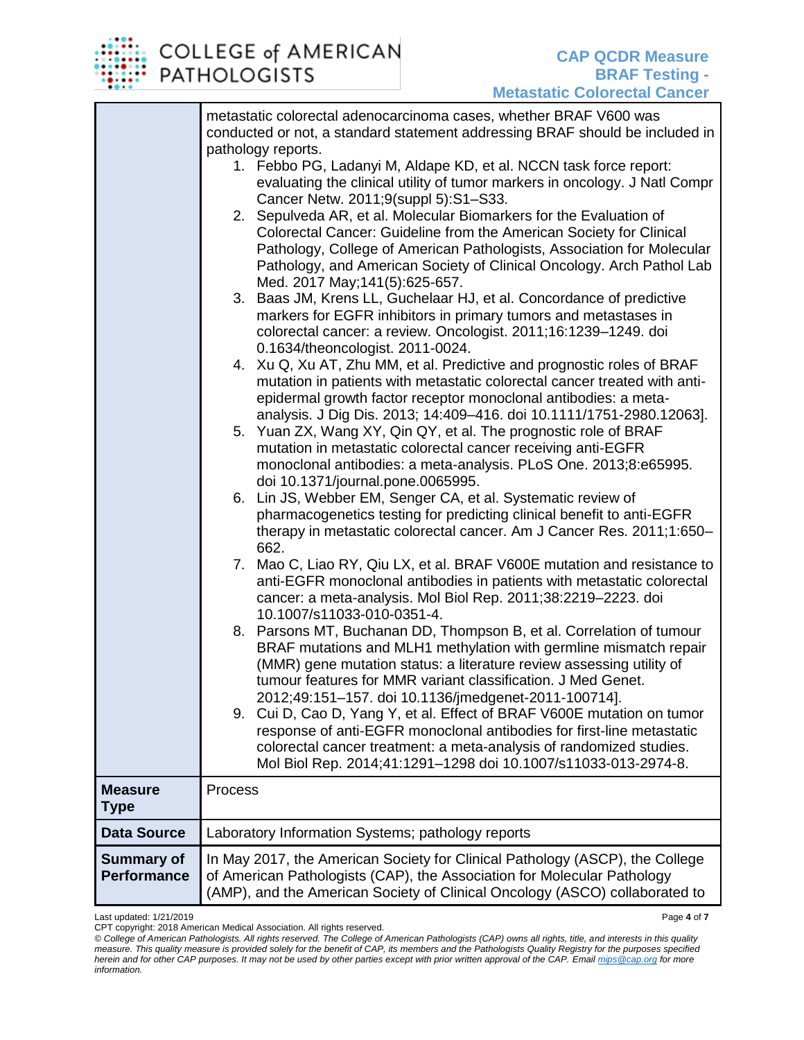

|                                         | metastatic colorectal adenocarcinoma cases, whether BRAF V600 was<br>conducted or not, a standard statement addressing BRAF should be included in                                                                                                                                                                                                |
|-----------------------------------------|--------------------------------------------------------------------------------------------------------------------------------------------------------------------------------------------------------------------------------------------------------------------------------------------------------------------------------------------------|
|                                         | pathology reports.<br>1. Febbo PG, Ladanyi M, Aldape KD, et al. NCCN task force report:<br>evaluating the clinical utility of tumor markers in oncology. J Natl Compr                                                                                                                                                                            |
|                                         | Cancer Netw. 2011;9(suppl 5):S1-S33.<br>2. Sepulveda AR, et al. Molecular Biomarkers for the Evaluation of<br>Colorectal Cancer: Guideline from the American Society for Clinical<br>Pathology, College of American Pathologists, Association for Molecular<br>Pathology, and American Society of Clinical Oncology. Arch Pathol Lab             |
|                                         | Med. 2017 May; 141(5): 625-657.<br>3. Baas JM, Krens LL, Guchelaar HJ, et al. Concordance of predictive<br>markers for EGFR inhibitors in primary tumors and metastases in<br>colorectal cancer: a review. Oncologist. 2011;16:1239-1249. doi<br>0.1634/theoncologist. 2011-0024.                                                                |
|                                         | 4. Xu Q, Xu AT, Zhu MM, et al. Predictive and prognostic roles of BRAF<br>mutation in patients with metastatic colorectal cancer treated with anti-<br>epidermal growth factor receptor monoclonal antibodies: a meta-                                                                                                                           |
|                                         | analysis. J Dig Dis. 2013; 14:409-416. doi 10.1111/1751-2980.12063].<br>5. Yuan ZX, Wang XY, Qin QY, et al. The prognostic role of BRAF<br>mutation in metastatic colorectal cancer receiving anti-EGFR<br>monoclonal antibodies: a meta-analysis. PLoS One. 2013;8:e65995.                                                                      |
|                                         | doi 10.1371/journal.pone.0065995.<br>6. Lin JS, Webber EM, Senger CA, et al. Systematic review of<br>pharmacogenetics testing for predicting clinical benefit to anti-EGFR<br>therapy in metastatic colorectal cancer. Am J Cancer Res. 2011;1:650-<br>662.                                                                                      |
|                                         | 7. Mao C, Liao RY, Qiu LX, et al. BRAF V600E mutation and resistance to<br>anti-EGFR monoclonal antibodies in patients with metastatic colorectal<br>cancer: a meta-analysis. Mol Biol Rep. 2011;38:2219-2223. doi<br>10.1007/s11033-010-0351-4.                                                                                                 |
|                                         | 8. Parsons MT, Buchanan DD, Thompson B, et al. Correlation of tumour<br>BRAF mutations and MLH1 methylation with germline mismatch repair<br>(MMR) gene mutation status: a literature review assessing utility of<br>tumour features for MMR variant classification. J Med Genet.                                                                |
|                                         | 2012;49:151-157. doi 10.1136/jmedgenet-2011-100714].<br>9. Cui D, Cao D, Yang Y, et al. Effect of BRAF V600E mutation on tumor<br>response of anti-EGFR monoclonal antibodies for first-line metastatic<br>colorectal cancer treatment: a meta-analysis of randomized studies.<br>Mol Biol Rep. 2014;41:1291-1298 doi 10.1007/s11033-013-2974-8. |
| <b>Measure</b><br><b>Type</b>           | Process                                                                                                                                                                                                                                                                                                                                          |
| <b>Data Source</b>                      | Laboratory Information Systems; pathology reports                                                                                                                                                                                                                                                                                                |
| <b>Summary of</b><br><b>Performance</b> | In May 2017, the American Society for Clinical Pathology (ASCP), the College<br>of American Pathologists (CAP), the Association for Molecular Pathology<br>(AMP), and the American Society of Clinical Oncology (ASCO) collaborated to                                                                                                           |

Last updated: 1/21/2019 Page **4** of **7**

CPT copyright: 2018 American Medical Association. All rights reserved.

*© College of American Pathologists. All rights reserved. The College of American Pathologists (CAP) owns all rights, title, and interests in this quality measure. This quality measure is provided solely for the benefit of CAP, its members and the Pathologists Quality Registry for the purposes specified herein and for other CAP purposes. It may not be used by other parties except with prior written approval of the CAP. Emai[l mips@cap.org](mailto:mips@cap.org) for more information.*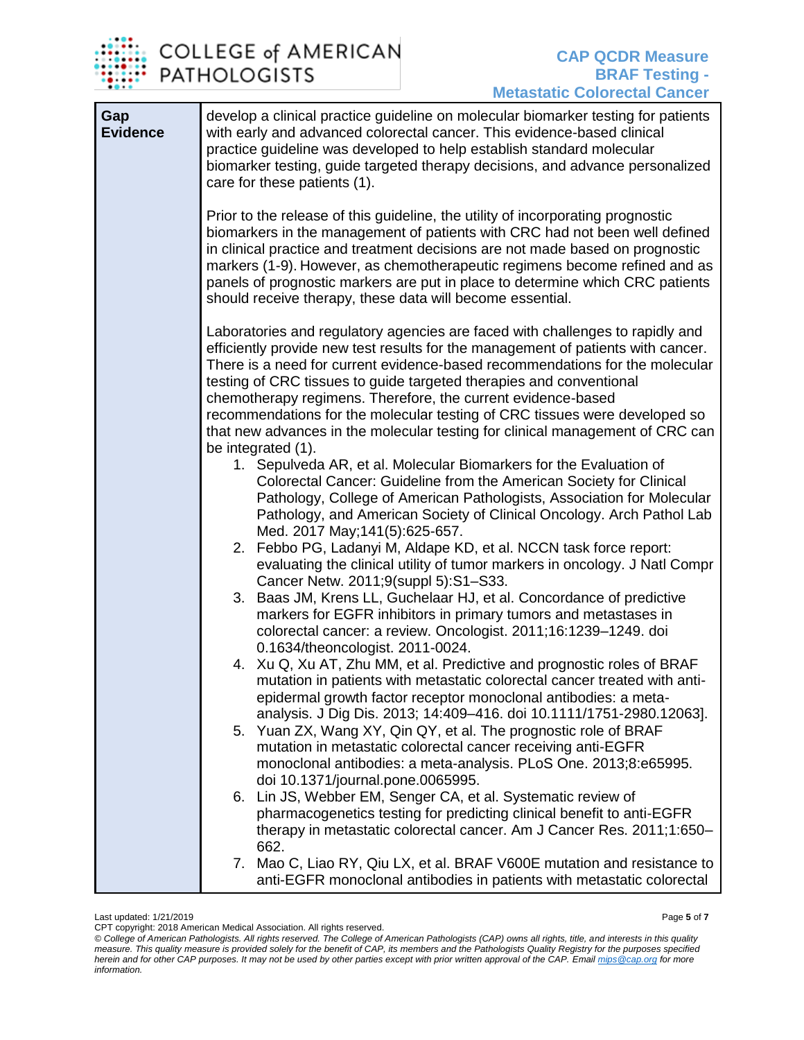

| Gap<br><b>Evidence</b> | develop a clinical practice guideline on molecular biomarker testing for patients<br>with early and advanced colorectal cancer. This evidence-based clinical<br>practice guideline was developed to help establish standard molecular<br>biomarker testing, guide targeted therapy decisions, and advance personalized<br>care for these patients (1).                                                                                                                                                                                                  |
|------------------------|---------------------------------------------------------------------------------------------------------------------------------------------------------------------------------------------------------------------------------------------------------------------------------------------------------------------------------------------------------------------------------------------------------------------------------------------------------------------------------------------------------------------------------------------------------|
|                        | Prior to the release of this guideline, the utility of incorporating prognostic<br>biomarkers in the management of patients with CRC had not been well defined<br>in clinical practice and treatment decisions are not made based on prognostic<br>markers (1-9). However, as chemotherapeutic regimens become refined and as<br>panels of prognostic markers are put in place to determine which CRC patients<br>should receive therapy, these data will become essential.                                                                             |
|                        | Laboratories and regulatory agencies are faced with challenges to rapidly and<br>efficiently provide new test results for the management of patients with cancer.<br>There is a need for current evidence-based recommendations for the molecular<br>testing of CRC tissues to guide targeted therapies and conventional<br>chemotherapy regimens. Therefore, the current evidence-based<br>recommendations for the molecular testing of CRC tissues were developed so<br>that new advances in the molecular testing for clinical management of CRC can |
|                        | be integrated (1).<br>1. Sepulveda AR, et al. Molecular Biomarkers for the Evaluation of<br>Colorectal Cancer: Guideline from the American Society for Clinical<br>Pathology, College of American Pathologists, Association for Molecular<br>Pathology, and American Society of Clinical Oncology. Arch Pathol Lab<br>Med. 2017 May; 141(5): 625-657.                                                                                                                                                                                                   |
|                        | 2. Febbo PG, Ladanyi M, Aldape KD, et al. NCCN task force report:<br>evaluating the clinical utility of tumor markers in oncology. J Natl Compr<br>Cancer Netw. 2011;9(suppl 5):S1-S33.                                                                                                                                                                                                                                                                                                                                                                 |
|                        | 3. Baas JM, Krens LL, Guchelaar HJ, et al. Concordance of predictive<br>markers for EGFR inhibitors in primary tumors and metastases in<br>colorectal cancer: a review. Oncologist. 2011;16:1239-1249. doi<br>0.1634/theoncologist. 2011-0024.                                                                                                                                                                                                                                                                                                          |
|                        | 4. Xu Q, Xu AT, Zhu MM, et al. Predictive and prognostic roles of BRAF<br>mutation in patients with metastatic colorectal cancer treated with anti-<br>epidermal growth factor receptor monoclonal antibodies: a meta-<br>analysis. J Dig Dis. 2013; 14:409-416. doi 10.1111/1751-2980.12063].                                                                                                                                                                                                                                                          |
|                        | 5. Yuan ZX, Wang XY, Qin QY, et al. The prognostic role of BRAF<br>mutation in metastatic colorectal cancer receiving anti-EGFR<br>monoclonal antibodies: a meta-analysis. PLoS One. 2013;8:e65995.<br>doi 10.1371/journal.pone.0065995.                                                                                                                                                                                                                                                                                                                |
|                        | 6. Lin JS, Webber EM, Senger CA, et al. Systematic review of<br>pharmacogenetics testing for predicting clinical benefit to anti-EGFR<br>therapy in metastatic colorectal cancer. Am J Cancer Res. 2011;1:650-<br>662.                                                                                                                                                                                                                                                                                                                                  |
|                        | 7. Mao C, Liao RY, Qiu LX, et al. BRAF V600E mutation and resistance to<br>anti-EGFR monoclonal antibodies in patients with metastatic colorectal                                                                                                                                                                                                                                                                                                                                                                                                       |

Last updated: 1/21/2019 Page **5** of **7**

CPT copyright: 2018 American Medical Association. All rights reserved. *© College of American Pathologists. All rights reserved. The College of American Pathologists (CAP) owns all rights, title, and interests in this quality measure. This quality measure is provided solely for the benefit of CAP, its members and the Pathologists Quality Registry for the purposes specified herein and for other CAP purposes. It may not be used by other parties except with prior written approval of the CAP. Emai[l mips@cap.org](mailto:mips@cap.org) for more information.*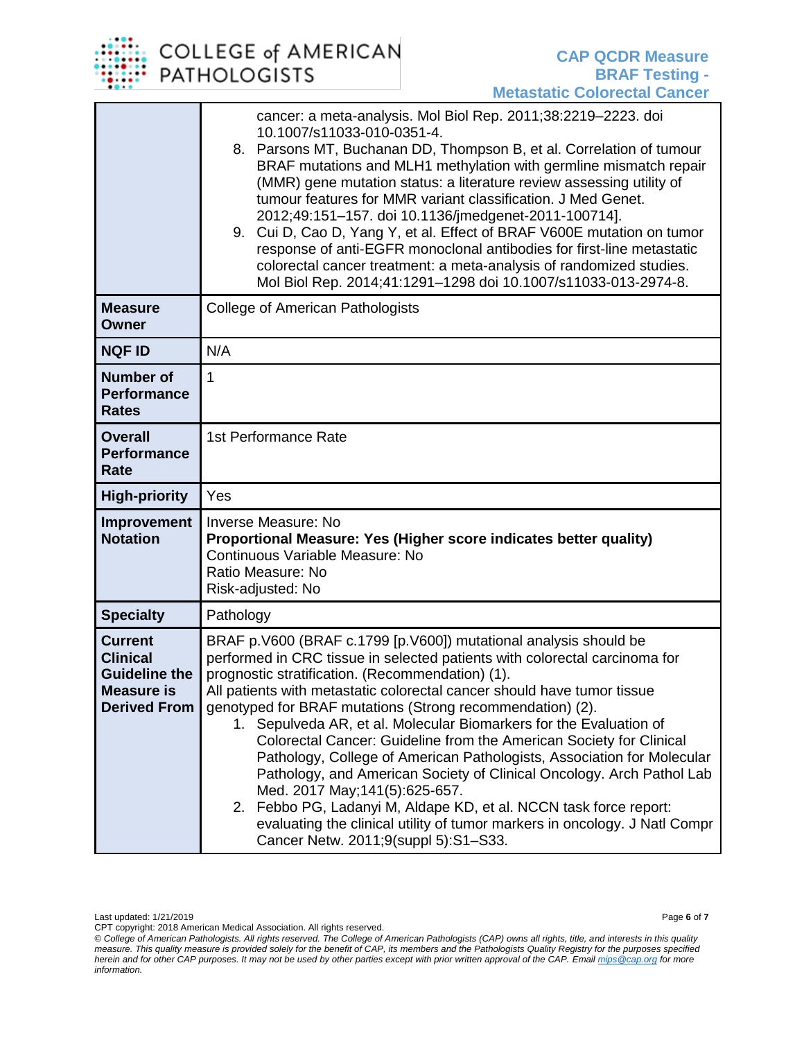## COLLEGE of AMERICAN **PATHOLOGISTS**

|                                                                                                       | cancer: a meta-analysis. Mol Biol Rep. 2011;38:2219-2223. doi<br>10.1007/s11033-010-0351-4.<br>8. Parsons MT, Buchanan DD, Thompson B, et al. Correlation of tumour<br>BRAF mutations and MLH1 methylation with germline mismatch repair<br>(MMR) gene mutation status: a literature review assessing utility of<br>tumour features for MMR variant classification. J Med Genet.<br>2012;49:151-157. doi 10.1136/jmedgenet-2011-100714].<br>9. Cui D, Cao D, Yang Y, et al. Effect of BRAF V600E mutation on tumor<br>response of anti-EGFR monoclonal antibodies for first-line metastatic<br>colorectal cancer treatment: a meta-analysis of randomized studies.<br>Mol Biol Rep. 2014;41:1291-1298 doi 10.1007/s11033-013-2974-8.                                                                                                                                     |  |  |
|-------------------------------------------------------------------------------------------------------|--------------------------------------------------------------------------------------------------------------------------------------------------------------------------------------------------------------------------------------------------------------------------------------------------------------------------------------------------------------------------------------------------------------------------------------------------------------------------------------------------------------------------------------------------------------------------------------------------------------------------------------------------------------------------------------------------------------------------------------------------------------------------------------------------------------------------------------------------------------------------|--|--|
| <b>Measure</b><br>Owner                                                                               | <b>College of American Pathologists</b>                                                                                                                                                                                                                                                                                                                                                                                                                                                                                                                                                                                                                                                                                                                                                                                                                                  |  |  |
| <b>NQF ID</b>                                                                                         | N/A                                                                                                                                                                                                                                                                                                                                                                                                                                                                                                                                                                                                                                                                                                                                                                                                                                                                      |  |  |
| <b>Number of</b><br><b>Performance</b><br><b>Rates</b>                                                | 1                                                                                                                                                                                                                                                                                                                                                                                                                                                                                                                                                                                                                                                                                                                                                                                                                                                                        |  |  |
| <b>Overall</b><br><b>Performance</b><br>Rate                                                          | 1st Performance Rate                                                                                                                                                                                                                                                                                                                                                                                                                                                                                                                                                                                                                                                                                                                                                                                                                                                     |  |  |
| <b>High-priority</b>                                                                                  | Yes                                                                                                                                                                                                                                                                                                                                                                                                                                                                                                                                                                                                                                                                                                                                                                                                                                                                      |  |  |
| Improvement<br><b>Notation</b>                                                                        | <b>Inverse Measure: No</b><br>Proportional Measure: Yes (Higher score indicates better quality)<br>Continuous Variable Measure: No<br>Ratio Measure: No<br>Risk-adjusted: No                                                                                                                                                                                                                                                                                                                                                                                                                                                                                                                                                                                                                                                                                             |  |  |
| <b>Specialty</b>                                                                                      | Pathology                                                                                                                                                                                                                                                                                                                                                                                                                                                                                                                                                                                                                                                                                                                                                                                                                                                                |  |  |
| <b>Current</b><br><b>Clinical</b><br><b>Guideline the</b><br><b>Measure is</b><br><b>Derived From</b> | BRAF p.V600 (BRAF c.1799 [p.V600]) mutational analysis should be<br>performed in CRC tissue in selected patients with colorectal carcinoma for<br>prognostic stratification. (Recommendation) (1).<br>All patients with metastatic colorectal cancer should have tumor tissue<br>genotyped for BRAF mutations (Strong recommendation) (2).<br>1. Sepulveda AR, et al. Molecular Biomarkers for the Evaluation of<br>Colorectal Cancer: Guideline from the American Society for Clinical<br>Pathology, College of American Pathologists, Association for Molecular<br>Pathology, and American Society of Clinical Oncology. Arch Pathol Lab<br>Med. 2017 May; 141(5): 625-657.<br>2. Febbo PG, Ladanyi M, Aldape KD, et al. NCCN task force report:<br>evaluating the clinical utility of tumor markers in oncology. J Natl Compr<br>Cancer Netw. 2011;9(suppl 5):S1-S33. |  |  |

Last updated: 1/21/2019 Page **6** of **7**

CPT copyright: 2018 American Medical Association. All rights reserved. *© College of American Pathologists. All rights reserved. The College of American Pathologists (CAP) owns all rights, title, and interests in this quality measure. This quality measure is provided solely for the benefit of CAP, its members and the Pathologists Quality Registry for the purposes specified herein and for other CAP purposes. It may not be used by other parties except with prior written approval of the CAP. Emai[l mips@cap.org](mailto:mips@cap.org) for more information.*